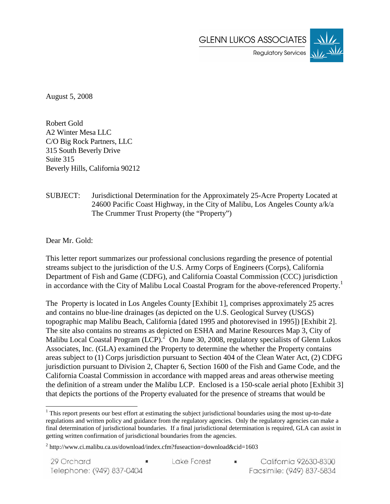

August 5, 2008

Robert Gold A2 Winter Mesa LLC C/O Big Rock Partners, LLC 315 South Beverly Drive Suite 315 Beverly Hills, California 90212

#### SUBJECT: Jurisdictional Determination for the Approximately 25-Acre Property Located at 24600 Pacific Coast Highway, in the City of Malibu, Los Angeles County a/k/a The Crummer Trust Property (the "Property")

Dear Mr. Gold:

This letter report summarizes our professional conclusions regarding the presence of potential streams subject to the jurisdiction of the U.S. Army Corps of Engineers (Corps), California Department of Fish and Game (CDFG), and California Coastal Commission (CCC) jurisdiction in accordance with the City of Malibu Local Coastal Program for the above-referenced Property.<sup>1</sup>

The Property is located in Los Angeles County [Exhibit 1], comprises approximately 25 acres and contains no blue-line drainages (as depicted on the U.S. Geological Survey (USGS) topographic map Malibu Beach, California [dated 1995 and photorevised in 1995]) [Exhibit 2]. The site also contains no streams as depicted on ESHA and Marine Resources Map 3, City of Malibu Local Coastal Program  $(LCP)$ .  $\overline{2}$  On June 30, 2008, regulatory specialists of Glenn Lukos Associates, Inc. (GLA) examined the Property to determine the whether the Property contains areas subject to (1) Corps jurisdiction pursuant to Section 404 of the Clean Water Act, (2) CDFG jurisdiction pursuant to Division 2, Chapter 6, Section 1600 of the Fish and Game Code, and the California Coastal Commission in accordance with mapped areas and areas otherwise meeting the definition of a stream under the Malibu LCP. Enclosed is a 150-scale aerial photo [Exhibit 3] that depicts the portions of the Property evaluated for the presence of streams that would be

 $\blacksquare$ 

This report presents our best effort at estimating the subject jurisdictional boundaries using the most up-to-date regulations and written policy and guidance from the regulatory agencies. Only the regulatory agencies can make a final determination of jurisdictional boundaries. If a final jurisdictional determination is required, GLA can assist in getting written confirmation of jurisdictional boundaries from the agencies.

 $2 \text{ http://www.ci.malibu.ca.us/download/index.cfm?fuseaction=download\&cid=1603$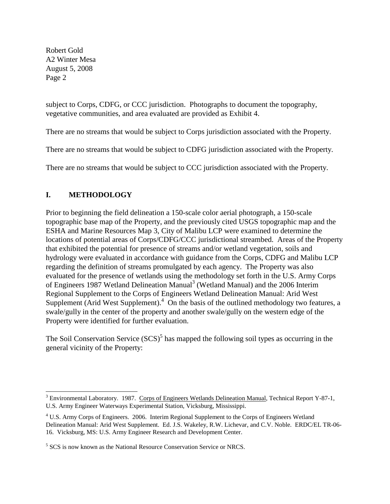subject to Corps, CDFG, or CCC jurisdiction. Photographs to document the topography, vegetative communities, and area evaluated are provided as Exhibit 4.

There are no streams that would be subject to Corps jurisdiction associated with the Property.

There are no streams that would be subject to CDFG jurisdiction associated with the Property.

There are no streams that would be subject to CCC jurisdiction associated with the Property.

# **I. METHODOLOGY**

1

Prior to beginning the field delineation a 150-scale color aerial photograph, a 150-scale topographic base map of the Property, and the previously cited USGS topographic map and the ESHA and Marine Resources Map 3, City of Malibu LCP were examined to determine the locations of potential areas of Corps/CDFG/CCC jurisdictional streambed. Areas of the Property that exhibited the potential for presence of streams and/or wetland vegetation, soils and hydrology were evaluated in accordance with guidance from the Corps, CDFG and Malibu LCP regarding the definition of streams promulgated by each agency. The Property was also evaluated for the presence of wetlands using the methodology set forth in the U.S. Army Corps of Engineers 1987 Wetland Delineation Manual<sup>3</sup> (Wetland Manual) and the 2006 Interim Regional Supplement to the Corps of Engineers Wetland Delineation Manual: Arid West Supplement (Arid West Supplement).<sup>4</sup> On the basis of the outlined methodology two features, a swale/gully in the center of the property and another swale/gully on the western edge of the Property were identified for further evaluation.

The Soil Conservation Service  $(SCS)^5$  has mapped the following soil types as occurring in the general vicinity of the Property:

<sup>&</sup>lt;sup>3</sup> Environmental Laboratory. 1987. Corps of Engineers Wetlands Delineation Manual, Technical Report Y-87-1, U.S. Army Engineer Waterways Experimental Station, Vicksburg, Mississippi.

<sup>&</sup>lt;sup>4</sup> U.S. Army Corps of Engineers. 2006. Interim Regional Supplement to the Corps of Engineers Wetland Delineation Manual: Arid West Supplement. Ed. J.S. Wakeley, R.W. Lichevar, and C.V. Noble. ERDC/EL TR-06- 16. Vicksburg, MS: U.S. Army Engineer Research and Development Center.

<sup>&</sup>lt;sup>5</sup> SCS is now known as the National Resource Conservation Service or NRCS.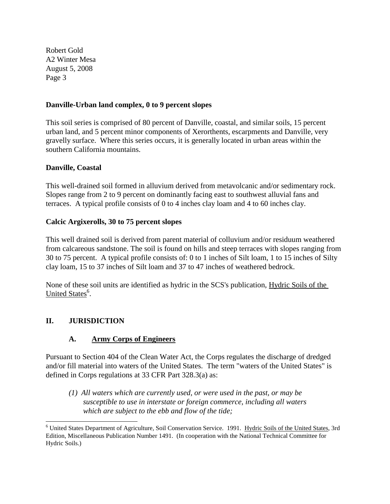#### **Danville-Urban land complex, 0 to 9 percent slopes**

This soil series is comprised of 80 percent of Danville, coastal, and similar soils, 15 percent urban land, and 5 percent minor components of Xerorthents, escarpments and Danville, very gravelly surface. Where this series occurs, it is generally located in urban areas within the southern California mountains.

#### **Danville, Coastal**

This well-drained soil formed in alluvium derived from metavolcanic and/or sedimentary rock. Slopes range from 2 to 9 percent on dominantly facing east to southwest alluvial fans and terraces. A typical profile consists of 0 to 4 inches clay loam and 4 to 60 inches clay.

#### **Calcic Argixerolls, 30 to 75 percent slopes**

This well drained soil is derived from parent material of colluvium and/or residuum weathered from calcareous sandstone. The soil is found on hills and steep terraces with slopes ranging from 30 to 75 percent. A typical profile consists of: 0 to 1 inches of Silt loam, 1 to 15 inches of Silty clay loam, 15 to 37 inches of Silt loam and 37 to 47 inches of weathered bedrock.

None of these soil units are identified as hydric in the SCS's publication, Hydric Soils of the United States<sup>6</sup>.

# **II. JURISDICTION**

-

# **A. Army Corps of Engineers**

Pursuant to Section 404 of the Clean Water Act, the Corps regulates the discharge of dredged and/or fill material into waters of the United States. The term "waters of the United States" is defined in Corps regulations at 33 CFR Part 328.3(a) as:

*(1) All waters which are currently used, or were used in the past, or may be susceptible to use in interstate or foreign commerce, including all waters which are subject to the ebb and flow of the tide;* 

<sup>&</sup>lt;sup>6</sup> United States Department of Agriculture, Soil Conservation Service. 1991. Hydric Soils of the United States, 3rd Edition, Miscellaneous Publication Number 1491. (In cooperation with the National Technical Committee for Hydric Soils.)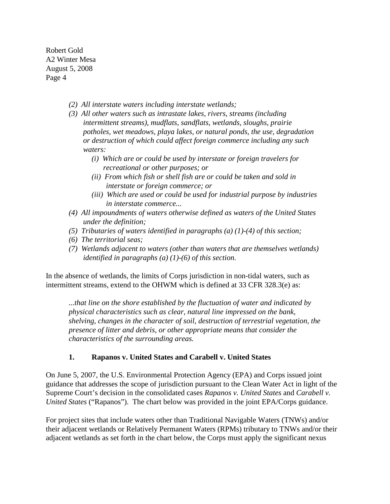- *(2) All interstate waters including interstate wetlands;*
- *(3) All other waters such as intrastate lakes, rivers, streams (including intermittent streams), mudflats, sandflats, wetlands, sloughs, prairie potholes, wet meadows, playa lakes, or natural ponds, the use, degradation or destruction of which could affect foreign commerce including any such waters:* 
	- *(i) Which are or could be used by interstate or foreign travelers for recreational or other purposes; or*
	- *(ii) From which fish or shell fish are or could be taken and sold in interstate or foreign commerce; or*
	- *(iii) Which are used or could be used for industrial purpose by industries in interstate commerce...*
- *(4) All impoundments of waters otherwise defined as waters of the United States under the definition;*
- *(5) Tributaries of waters identified in paragraphs (a) (1)-(4) of this section;*
- *(6) The territorial seas;*
- *(7) Wetlands adjacent to waters (other than waters that are themselves wetlands) identified in paragraphs (a) (1)-(6) of this section.*

In the absence of wetlands, the limits of Corps jurisdiction in non-tidal waters, such as intermittent streams, extend to the OHWM which is defined at 33 CFR 328.3(e) as:

*...that line on the shore established by the fluctuation of water and indicated by physical characteristics such as clear, natural line impressed on the bank, shelving, changes in the character of soil, destruction of terrestrial vegetation, the presence of litter and debris, or other appropriate means that consider the characteristics of the surrounding areas.* 

#### **1. Rapanos v. United States and Carabell v. United States**

On June 5, 2007, the U.S. Environmental Protection Agency (EPA) and Corps issued joint guidance that addresses the scope of jurisdiction pursuant to the Clean Water Act in light of the Supreme Court's decision in the consolidated cases *Rapanos v. United States* and *Carabell v. United States* ("Rapanos"). The chart below was provided in the joint EPA/Corps guidance.

For project sites that include waters other than Traditional Navigable Waters (TNWs) and/or their adjacent wetlands or Relatively Permanent Waters (RPMs) tributary to TNWs and/or their adjacent wetlands as set forth in the chart below, the Corps must apply the significant nexus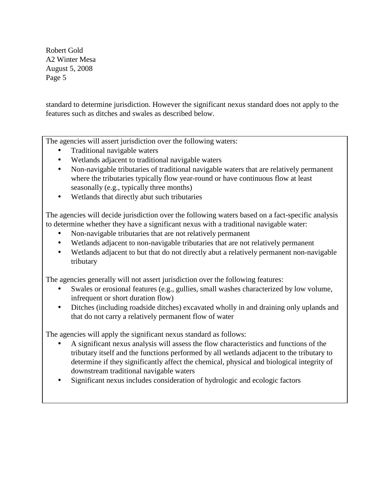standard to determine jurisdiction. However the significant nexus standard does not apply to the features such as ditches and swales as described below.

The agencies will assert jurisdiction over the following waters:

- Traditional navigable waters
- Wetlands adjacent to traditional navigable waters
- Non-navigable tributaries of traditional navigable waters that are relatively permanent where the tributaries typically flow year-round or have continuous flow at least seasonally (e.g., typically three months)
- Wetlands that directly abut such tributaries

The agencies will decide jurisdiction over the following waters based on a fact-specific analysis to determine whether they have a significant nexus with a traditional navigable water:

- Non-navigable tributaries that are not relatively permanent
- Wetlands adjacent to non-navigable tributaries that are not relatively permanent
- Wetlands adjacent to but that do not directly abut a relatively permanent non-navigable tributary

The agencies generally will not assert jurisdiction over the following features:

- Swales or erosional features (e.g., gullies, small washes characterized by low volume, infrequent or short duration flow)
- Ditches (including roadside ditches) excavated wholly in and draining only uplands and that do not carry a relatively permanent flow of water

The agencies will apply the significant nexus standard as follows:

- A significant nexus analysis will assess the flow characteristics and functions of the tributary itself and the functions performed by all wetlands adjacent to the tributary to determine if they significantly affect the chemical, physical and biological integrity of downstream traditional navigable waters
- Significant nexus includes consideration of hydrologic and ecologic factors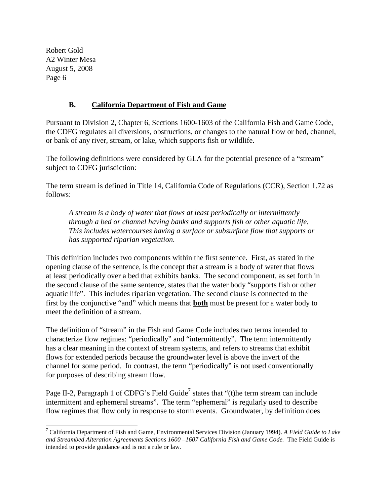-

#### **B. California Department of Fish and Game**

Pursuant to Division 2, Chapter 6, Sections 1600-1603 of the California Fish and Game Code, the CDFG regulates all diversions, obstructions, or changes to the natural flow or bed, channel, or bank of any river, stream, or lake, which supports fish or wildlife.

The following definitions were considered by GLA for the potential presence of a "stream" subject to CDFG jurisdiction:

The term stream is defined in Title 14, California Code of Regulations (CCR), Section 1.72 as follows:

 *A stream is a body of water that flows at least periodically or intermittently through a bed or channel having banks and supports fish or other aquatic life. This includes watercourses having a surface or subsurface flow that supports or has supported riparian vegetation.* 

This definition includes two components within the first sentence. First, as stated in the opening clause of the sentence, is the concept that a stream is a body of water that flows at least periodically over a bed that exhibits banks. The second component, as set forth in the second clause of the same sentence, states that the water body "supports fish or other aquatic life". This includes riparian vegetation. The second clause is connected to the first by the conjunctive "and" which means that **both** must be present for a water body to meet the definition of a stream.

The definition of "stream" in the Fish and Game Code includes two terms intended to characterize flow regimes: "periodically" and "intermittently". The term intermittently has a clear meaning in the context of stream systems, and refers to streams that exhibit flows for extended periods because the groundwater level is above the invert of the channel for some period. In contrast, the term "periodically" is not used conventionally for purposes of describing stream flow.

Page II-2, Paragraph 1 of CDFG's Field Guide<sup>7</sup> states that "(t)he term stream can include intermittent and ephemeral streams". The term "ephemeral" is regularly used to describe flow regimes that flow only in response to storm events. Groundwater, by definition does

<sup>7</sup> California Department of Fish and Game, Environmental Services Division (January 1994). *A Field Guide to Lake and Streambed Alteration Agreements Sections 1600 –1607 California Fish and Game Code.* The Field Guide is intended to provide guidance and is not a rule or law.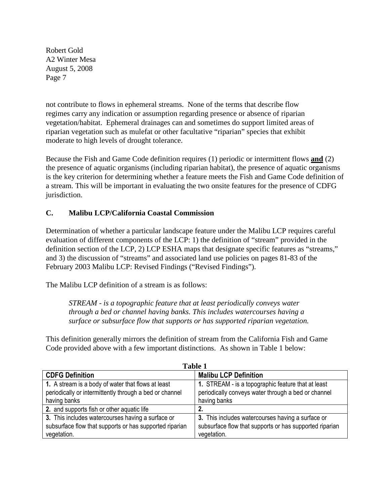not contribute to flows in ephemeral streams. None of the terms that describe flow regimes carry any indication or assumption regarding presence or absence of riparian vegetation/habitat. Ephemeral drainages can and sometimes do support limited areas of riparian vegetation such as mulefat or other facultative "riparian" species that exhibit moderate to high levels of drought tolerance.

Because the Fish and Game Code definition requires (1) periodic or intermittent flows **and** (2) the presence of aquatic organisms (including riparian habitat), the presence of aquatic organisms is the key criterion for determining whether a feature meets the Fish and Game Code definition of a stream. This will be important in evaluating the two onsite features for the presence of CDFG jurisdiction.

# **C. Malibu LCP/California Coastal Commission**

Determination of whether a particular landscape feature under the Malibu LCP requires careful evaluation of different components of the LCP: 1) the definition of "stream" provided in the definition section of the LCP, 2) LCP ESHA maps that designate specific features as "streams," and 3) the discussion of "streams" and associated land use policies on pages 81-83 of the February 2003 Malibu LCP: Revised Findings ("Revised Findings").

The Malibu LCP definition of a stream is as follows:

*STREAM - is a topographic feature that at least periodically conveys water through a bed or channel having banks. This includes watercourses having a surface or subsurface flow that supports or has supported riparian vegetation.* 

This definition generally mirrors the definition of stream from the California Fish and Game Code provided above with a few important distinctions. As shown in Table 1 below:

| Table I                                                 |                                                         |
|---------------------------------------------------------|---------------------------------------------------------|
| <b>CDFG Definition</b>                                  | <b>Malibu LCP Definition</b>                            |
| 1. A stream is a body of water that flows at least      | 1. STREAM - is a topographic feature that at least      |
| periodically or intermittently through a bed or channel | periodically conveys water through a bed or channel     |
| having banks                                            | having banks                                            |
| 2. and supports fish or other aquatic life              |                                                         |
| 3. This includes watercourses having a surface or       | 3. This includes watercourses having a surface or       |
| subsurface flow that supports or has supported riparian | subsurface flow that supports or has supported riparian |
| vegetation.                                             | vegetation.                                             |

**Table 1 1**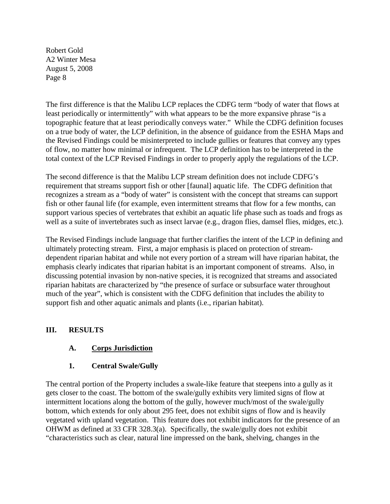The first difference is that the Malibu LCP replaces the CDFG term "body of water that flows at least periodically or intermittently" with what appears to be the more expansive phrase "is a topographic feature that at least periodically conveys water." While the CDFG definition focuses on a true body of water, the LCP definition, in the absence of guidance from the ESHA Maps and the Revised Findings could be misinterpreted to include gullies or features that convey any types of flow, no matter how minimal or infrequent. The LCP definition has to be interpreted in the total context of the LCP Revised Findings in order to properly apply the regulations of the LCP.

The second difference is that the Malibu LCP stream definition does not include CDFG's requirement that streams support fish or other [faunal] aquatic life. The CDFG definition that recognizes a stream as a "body of water" is consistent with the concept that streams can support fish or other faunal life (for example, even intermittent streams that flow for a few months, can support various species of vertebrates that exhibit an aquatic life phase such as toads and frogs as well as a suite of invertebrates such as insect larvae (e.g., dragon flies, damsel flies, midges, etc.).

The Revised Findings include language that further clarifies the intent of the LCP in defining and ultimately protecting stream. First, a major emphasis is placed on protection of streamdependent riparian habitat and while not every portion of a stream will have riparian habitat, the emphasis clearly indicates that riparian habitat is an important component of streams. Also, in discussing potential invasion by non-native species, it is recognized that streams and associated riparian habitats are characterized by "the presence of surface or subsurface water throughout much of the year", which is consistent with the CDFG definition that includes the ability to support fish and other aquatic animals and plants (i.e., riparian habitat).

#### **III. RESULTS**

# **A. Corps Jurisdiction**

# **1. Central Swale/Gully**

The central portion of the Property includes a swale-like feature that steepens into a gully as it gets closer to the coast. The bottom of the swale/gully exhibits very limited signs of flow at intermittent locations along the bottom of the gully, however much/most of the swale/gully bottom, which extends for only about 295 feet, does not exhibit signs of flow and is heavily vegetated with upland vegetation. This feature does not exhibit indicators for the presence of an OHWM as defined at 33 CFR 328.3(a). Specifically, the swale/gully does not exhibit "characteristics such as clear, natural line impressed on the bank, shelving, changes in the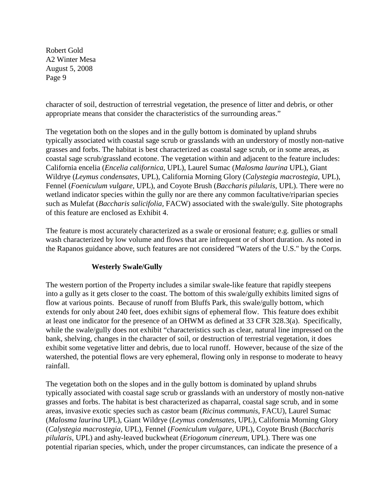character of soil, destruction of terrestrial vegetation, the presence of litter and debris, or other appropriate means that consider the characteristics of the surrounding areas."

The vegetation both on the slopes and in the gully bottom is dominated by upland shrubs typically associated with coastal sage scrub or grasslands with an understory of mostly non-native grasses and forbs. The habitat is best characterized as coastal sage scrub, or in some areas, as coastal sage scrub/grassland ecotone. The vegetation within and adjacent to the feature includes: California encelia (*Encelia californica,* UPL), Laurel Sumac (*Malosma laurina* UPL), Giant Wildrye (*Leymus condensates,* UPL), California Morning Glory (*Calystegia macrostegia,* UPL), Fennel (*Foeniculum vulgare,* UPL), and Coyote Brush (*Baccharis pilularis,* UPL). There were no wetland indicator species within the gully nor are there any common facultative/riparian species such as Mulefat (*Baccharis salicifolia,* FACW) associated with the swale/gully. Site photographs of this feature are enclosed as Exhibit 4.

The feature is most accurately characterized as a swale or erosional feature; e.g. gullies or small wash characterized by low volume and flows that are infrequent or of short duration. As noted in the Rapanos guidance above, such features are not considered "Waters of the U.S." by the Corps.

# **Westerly Swale/Gully**

The western portion of the Property includes a similar swale-like feature that rapidly steepens into a gully as it gets closer to the coast. The bottom of this swale/gully exhibits limited signs of flow at various points. Because of runoff from Bluffs Park, this swale/gully bottom, which extends for only about 240 feet, does exhibit signs of ephemeral flow. This feature does exhibit at least one indicator for the presence of an OHWM as defined at 33 CFR 328.3(a). Specifically, while the swale/gully does not exhibit "characteristics such as clear, natural line impressed on the bank, shelving, changes in the character of soil, or destruction of terrestrial vegetation, it does exhibit some vegetative litter and debris, due to local runoff. However, because of the size of the watershed, the potential flows are very ephemeral, flowing only in response to moderate to heavy rainfall.

The vegetation both on the slopes and in the gully bottom is dominated by upland shrubs typically associated with coastal sage scrub or grasslands with an understory of mostly non-native grasses and forbs. The habitat is best characterized as chaparral, coastal sage scrub, and in some areas, invasive exotic species such as castor beam (*Ricinus communis*, FACU), Laurel Sumac (*Malosma laurina* UPL), Giant Wildrye (*Leymus condensates,* UPL), California Morning Glory (*Calystegia macrostegia,* UPL), Fennel (*Foeniculum vulgare,* UPL), Coyote Brush (*Baccharis pilularis,* UPL) and ashy-leaved buckwheat (*Eriogonum cinereum*, UPL). There was one potential riparian species, which, under the proper circumstances, can indicate the presence of a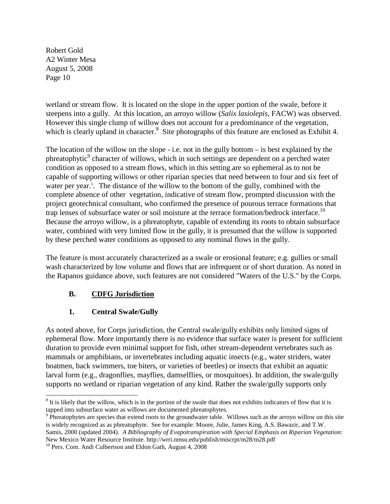wetland or stream flow. It is located on the slope in the upper portion of the swale, before it steepens into a gully. At this location, an arroyo willow (*Salix lasiolepis*, FACW) was observed. However this single clump of willow does not account for a predominance of the vegetation, which is clearly upland in character.<sup>8</sup> Site photographs of this feature are enclosed as Exhibit 4.

The location of the willow on the slope - i.e. not in the gully bottom – is best explained by the phreatophytic<sup>9</sup> character of willows, which in such settings are dependent on a perched water condition as opposed to a stream flows, which in this setting are so ephemeral as to not be capable of supporting willows or other riparian species that need between to four and six feet of water per year.<sup>1</sup>. The distance of the willow to the bottom of the gully, combined with the complete absence of other vegetation, indicative of stream flow, prompted discussion with the project geotechnical consultant, who confirmed the presence of pourous terrace formations that trap lenses of subsurface water or soil moisture at the terrace formation/bedrock interface.<sup>10</sup> Because the arroyo willow, is a phreatophyte, capable of extending its roots to obtain subsurface water, combined with very limited flow in the gully, it is presumed that the willow is supported by these perched water conditions as opposed to any nominal flows in the gully.

The feature is most accurately characterized as a swale or erosional feature; e.g. gullies or small wash characterized by low volume and flows that are infrequent or of short duration. As noted in the Rapanos guidance above, such features are not considered "Waters of the U.S." by the Corps.

# **B. CDFG Jurisdiction**

# **1. Central Swale/Gully**

As noted above, for Corps jurisdiction, the Central swale/gully exhibits only limited signs of ephemeral flow. More importantly there is no evidence that surface water is present for sufficient duration to provide even minimal support for fish, other stream-dependent vertebrates such as mammals or amphibians, or invertebrates including aquatic insects (e.g., water striders, water boatmen, back swimmers, toe biters, or varieties of beetles) or insects that exhibit an aquatic larval form (e.g., dragonflies, mayflies, damselflies, or mosquitoes). In addition, the swale/gully supports no wetland or riparian vegetation of any kind. Rather the swale/gully supports only

<sup>1</sup>  $8$  It is likely that the willow, which is in the portion of the swale that does not exhibits indicators of flow that it is tapped into subsurface water as willows are documented phreatophytes.

<sup>&</sup>lt;sup>9</sup> Phreatophytes are species that extend roots to the groundwater table. Willows such as the arroyo willow on this site is widely recognized as as phreatophyte. See for example: Moore, Julie, James King, A.S. Bawazir, and T.W. Samis, 2000 (updated 2004). *A Bibliography of Evapotranspiration with Special Emphasis on Riparian Vegetation:*  New Mexico Water Resource Institute*.* http://wrri.nmsu.edu/publish/miscrpt/m28/m28.pdf

<sup>&</sup>lt;sup>10</sup> Pers. Com. Andi Culbertson and Eldon Gath, August 4, 2008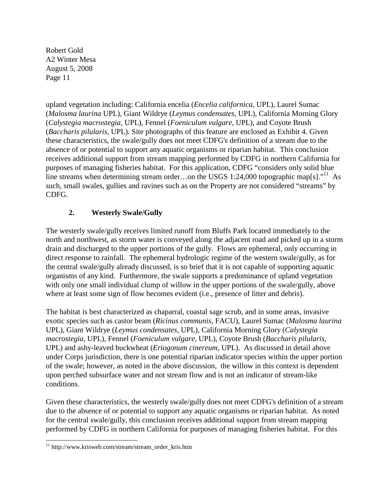upland vegetation including: California encelia (*Encelia californica,* UPL), Laurel Sumac (*Malosma laurina* UPL), Giant Wildrye (*Leymus condensates,* UPL), California Morning Glory (*Calystegia macrostegia,* UPL), Fennel (*Foeniculum vulgare,* UPL), and Coyote Brush (*Baccharis pilularis,* UPL). Site photographs of this feature are enclosed as Exhibit 4. Given these characteristics, the swale/gully does not meet CDFG's definition of a stream due to the absence of or potential to support any aquatic organisms or riparian habitat. This conclusion receives additional support from stream mapping performed by CDFG in northern California for purposes of managing fisheries habitat. For this application, CDFG "considers only solid blue line streams when determining stream order...on the USGS 1:24,000 topographic map[s]."<sup>11</sup> As such, small swales, gullies and ravines such as on the Property are not considered "streams" by CDFG.

# **2. Westerly Swale/Gully**

The westerly swale/gully receives limited runoff from Bluffs Park located immediately to the north and northwest, as storm water is conveyed along the adjacent road and picked up in a storm drain and discharged to the upper portions of the gully. Flows are ephemeral, only occurring in direct response to rainfall. The ephemeral hydrologic regime of the western swale/gully, as for the central swale/gully already discussed, is so brief that it is not capable of supporting aquatic organisms of any kind. Furthermore, the swale supports a predominance of upland vegetation with only one small individual clump of willow in the upper portions of the swale/gully, above where at least some sign of flow becomes evident (i.e., presence of litter and debris).

The habitat is best characterized as chaparral, coastal sage scrub, and in some areas, invasive exotic species such as castor beam (*Ricinus communis*, FACU), Laurel Sumac (*Malosma laurina*  UPL), Giant Wildrye (*Leymus condensates,* UPL), California Morning Glory (*Calystegia macrostegia,* UPL), Fennel (*Foeniculum vulgare,* UPL), Coyote Brush (*Baccharis pilularis,*  UPL) and ashy-leaved buckwheat (*Eriogonum cinereum*, UPL). As discussed in detail above under Corps jurisdiction, there is one potential riparian indicator species within the upper portion of the swale; however, as noted in the above discussion, the willow in this context is dependent upon perched subsurface water and not stream flow and is not an indicator of stream-like conditions.

Given these characteristics, the westerly swale/gully does not meet CDFG's definition of a stream due to the absence of or potential to support any aquatic organisms or riparian habitat. As noted for the central swale/gully, this conclusion receives additional support from stream mapping performed by CDFG in northern California for purposes of managing fisheries habitat. For this

1

<sup>&</sup>lt;sup>11</sup> http://www.krisweb.com/stream/stream\_order\_kris.htm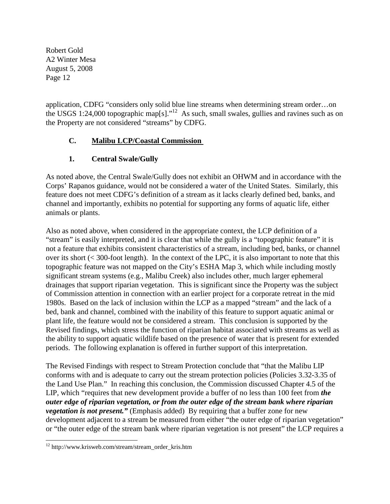application, CDFG "considers only solid blue line streams when determining stream order…on the USGS 1:24,000 topographic map[s]."<sup>12</sup> As such, small swales, gullies and ravines such as on the Property are not considered "streams" by CDFG.

# **C. Malibu LCP/Coastal Commission**

# **1. Central Swale/Gully**

As noted above, the Central Swale/Gully does not exhibit an OHWM and in accordance with the Corps' Rapanos guidance, would not be considered a water of the United States. Similarly, this feature does not meet CDFG's definition of a stream as it lacks clearly defined bed, banks, and channel and importantly, exhibits no potential for supporting any forms of aquatic life, either animals or plants.

Also as noted above, when considered in the appropriate context, the LCP definition of a "stream" is easily interpreted, and it is clear that while the gully is a "topographic feature" it is not a feature that exhibits consistent characteristics of a stream, including bed, banks, or channel over its short (< 300-foot length). In the context of the LPC, it is also important to note that this topographic feature was not mapped on the City's ESHA Map 3, which while including mostly significant stream systems (e.g., Malibu Creek) also includes other, much larger ephemeral drainages that support riparian vegetation. This is significant since the Property was the subject of Commission attention in connection with an earlier project for a corporate retreat in the mid 1980s. Based on the lack of inclusion within the LCP as a mapped "stream" and the lack of a bed, bank and channel, combined with the inability of this feature to support aquatic animal or plant life, the feature would not be considered a stream. This conclusion is supported by the Revised findings, which stress the function of riparian habitat associated with streams as well as the ability to support aquatic wildlife based on the presence of water that is present for extended periods. The following explanation is offered in further support of this interpretation.

The Revised Findings with respect to Stream Protection conclude that "that the Malibu LIP conforms with and is adequate to carry out the stream protection policies (Policies 3.32-3.35 of the Land Use Plan." In reaching this conclusion, the Commission discussed Chapter 4.5 of the LIP, which "requires that new development provide a buffer of no less than 100 feet from *the outer edge of riparian vegetation, or from the outer edge of the stream bank where riparian vegetation is not present."* (Emphasis added) By requiring that a buffer zone for new development adjacent to a stream be measured from either "the outer edge of riparian vegetation" or "the outer edge of the stream bank where riparian vegetation is not present" the LCP requires a

<sup>1</sup> <sup>12</sup> http://www.krisweb.com/stream/stream\_order\_kris.htm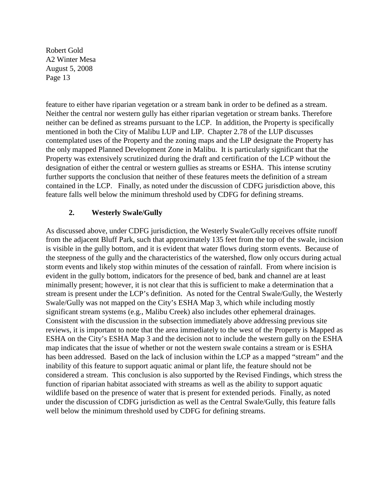feature to either have riparian vegetation or a stream bank in order to be defined as a stream. Neither the central nor western gully has either riparian vegetation or stream banks. Therefore neither can be defined as streams pursuant to the LCP. In addition, the Property is specifically mentioned in both the City of Malibu LUP and LIP. Chapter 2.78 of the LUP discusses contemplated uses of the Property and the zoning maps and the LIP designate the Property has the only mapped Planned Development Zone in Malibu. It is particularly significant that the Property was extensively scrutinized during the draft and certification of the LCP without the designation of either the central or western gullies as streams or ESHA. This intense scrutiny further supports the conclusion that neither of these features meets the definition of a stream contained in the LCP. Finally, as noted under the discussion of CDFG jurisdiction above, this feature falls well below the minimum threshold used by CDFG for defining streams.

#### **2. Westerly Swale/Gully**

As discussed above, under CDFG jurisdiction, the Westerly Swale/Gully receives offsite runoff from the adjacent Bluff Park, such that approximately 135 feet from the top of the swale, incision is visible in the gully bottom, and it is evident that water flows during storm events. Because of the steepness of the gully and the characteristics of the watershed, flow only occurs during actual storm events and likely stop within minutes of the cessation of rainfall. From where incision is evident in the gully bottom, indicators for the presence of bed, bank and channel are at least minimally present; however, it is not clear that this is sufficient to make a determination that a stream is present under the LCP's definition. As noted for the Central Swale/Gully, the Westerly Swale/Gully was not mapped on the City's ESHA Map 3, which while including mostly significant stream systems (e.g., Malibu Creek) also includes other ephemeral drainages. Consistent with the discussion in the subsection immediately above addressing previous site reviews, it is important to note that the area immediately to the west of the Property is Mapped as ESHA on the City's ESHA Map 3 and the decision not to include the western gully on the ESHA map indicates that the issue of whether or not the western swale contains a stream or is ESHA has been addressed.Based on the lack of inclusion within the LCP as a mapped "stream" and the inability of this feature to support aquatic animal or plant life, the feature should not be considered a stream. This conclusion is also supported by the Revised Findings, which stress the function of riparian habitat associated with streams as well as the ability to support aquatic wildlife based on the presence of water that is present for extended periods. Finally, as noted under the discussion of CDFG jurisdiction as well as the Central Swale/Gully, this feature falls well below the minimum threshold used by CDFG for defining streams.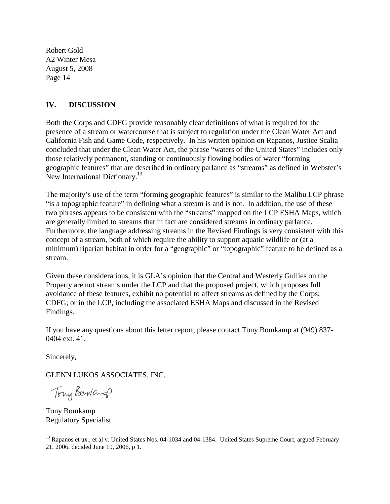#### **IV. DISCUSSION**

Both the Corps and CDFG provide reasonably clear definitions of what is required for the presence of a stream or watercourse that is subject to regulation under the Clean Water Act and California Fish and Game Code, respectively. In his written opinion on Rapanos, Justice Scalia concluded that under the Clean Water Act, the phrase "waters of the United States" includes only those relatively permanent, standing or continuously flowing bodies of water "forming geographic features" that are described in ordinary parlance as "streams" as defined in Webster's New International Dictionary.<sup>13</sup>

The majority's use of the term "forming geographic features" is similar to the Malibu LCP phrase "is a topographic feature" in defining what a stream is and is not. In addition, the use of these two phrases appears to be consistent with the "streams" mapped on the LCP ESHA Maps, which are generally limited to streams that in fact are considered streams in ordinary parlance. Furthermore, the language addressing streams in the Revised Findings is very consistent with this concept of a stream, both of which require the ability to support aquatic wildlife or (at a minimum) riparian habitat in order for a "geographic" or "topographic" feature to be defined as a stream.

Given these considerations, it is GLA's opinion that the Central and Westerly Gullies on the Property are not streams under the LCP and that the proposed project, which proposes full avoidance of these features, exhibit no potential to affect streams as defined by the Corps; CDFG; or in the LCP, including the associated ESHA Maps and discussed in the Revised Findings.

If you have any questions about this letter report, please contact Tony Bomkamp at (949) 837- 0404 ext. 41.

Sincerely,

GLENN LUKOS ASSOCIATES, INC.

Tony Bondarof

Tony Bomkamp Regulatory Specialist

<sup>-</sup><sup>13</sup> Rapanos et ux., et al v. United States Nos. 04-1034 and 04-1384. United States Supreme Court, argued February 21, 2006, decided June 19, 2006, p 1.